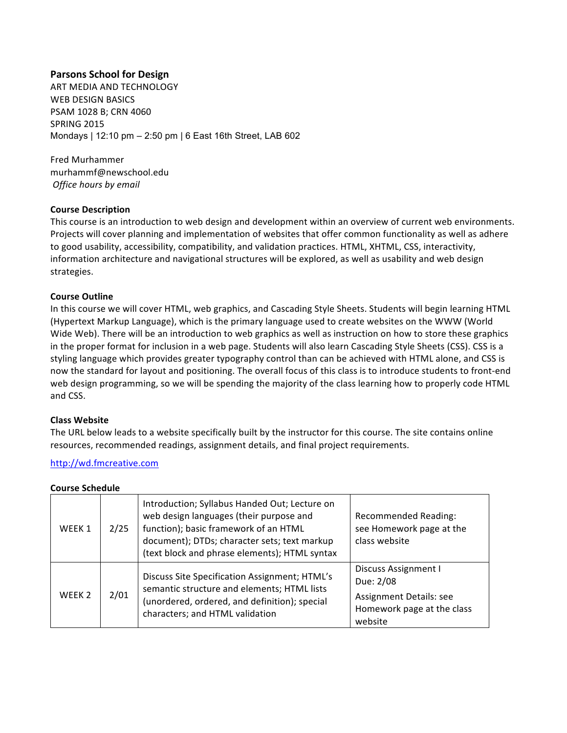# **Parsons School for Design**

ART MEDIA AND TECHNOLOGY WEB DESIGN BASICS PSAM 1028 B; CRN 4060 **SPRING 2015** Mondays | 12:10 pm – 2:50 pm | 6 East 16th Street, LAB 602

Fred Murhammer murhammf@newschool.edu *Office hours by email*

# **Course Description**

This course is an introduction to web design and development within an overview of current web environments. Projects will cover planning and implementation of websites that offer common functionality as well as adhere to good usability, accessibility, compatibility, and validation practices. HTML, XHTML, CSS, interactivity, information architecture and navigational structures will be explored, as well as usability and web design strategies.

## **Course Outline**

In this course we will cover HTML, web graphics, and Cascading Style Sheets. Students will begin learning HTML (Hypertext Markup Language), which is the primary language used to create websites on the WWW (World Wide Web). There will be an introduction to web graphics as well as instruction on how to store these graphics in the proper format for inclusion in a web page. Students will also learn Cascading Style Sheets (CSS). CSS is a styling language which provides greater typography control than can be achieved with HTML alone, and CSS is now the standard for layout and positioning. The overall focus of this class is to introduce students to front-end web design programming, so we will be spending the majority of the class learning how to properly code HTML and CSS.

#### **Class Website**

The URL below leads to a website specifically built by the instructor for this course. The site contains online resources, recommended readings, assignment details, and final project requirements.

#### http://wd.fmcreative.com

| Course Schedule   |      |                                                                                                                                                                                                                                    |                                                                                                       |  |  |  |
|-------------------|------|------------------------------------------------------------------------------------------------------------------------------------------------------------------------------------------------------------------------------------|-------------------------------------------------------------------------------------------------------|--|--|--|
| WEEK 1            | 2/25 | Introduction; Syllabus Handed Out; Lecture on<br>web design languages (their purpose and<br>function); basic framework of an HTML<br>document); DTDs; character sets; text markup<br>(text block and phrase elements); HTML syntax | <b>Recommended Reading:</b><br>see Homework page at the<br>class website                              |  |  |  |
| WFFK <sub>2</sub> | 2/01 | Discuss Site Specification Assignment; HTML's<br>semantic structure and elements; HTML lists<br>(unordered, ordered, and definition); special<br>characters; and HTML validation                                                   | Discuss Assignment I<br>Due: 2/08<br>Assignment Details: see<br>Homework page at the class<br>website |  |  |  |

# **Course Schedule**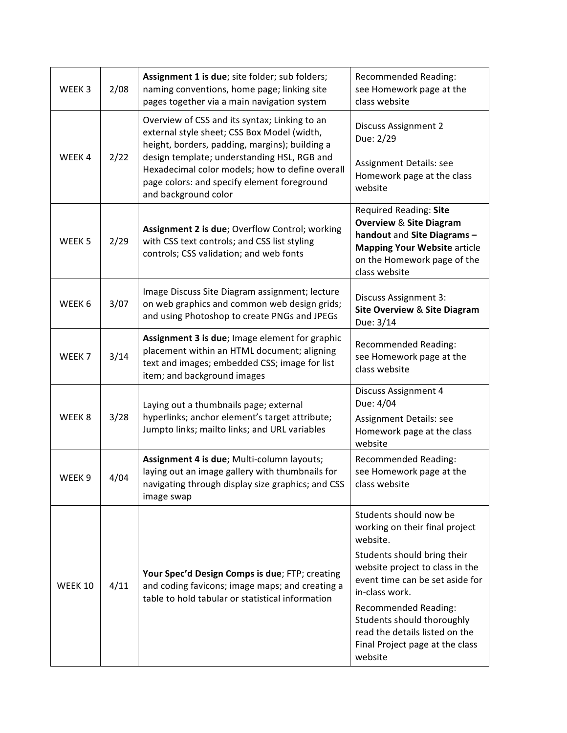| WEEK <sub>3</sub> | 2/08 | Assignment 1 is due; site folder; sub folders;<br>naming conventions, home page; linking site<br>pages together via a main navigation system                                                                                                                                                                            | <b>Recommended Reading:</b><br>see Homework page at the<br>class website                                                                                                                                                                                                                                                          |
|-------------------|------|-------------------------------------------------------------------------------------------------------------------------------------------------------------------------------------------------------------------------------------------------------------------------------------------------------------------------|-----------------------------------------------------------------------------------------------------------------------------------------------------------------------------------------------------------------------------------------------------------------------------------------------------------------------------------|
| WEEK4             | 2/22 | Overview of CSS and its syntax; Linking to an<br>external style sheet; CSS Box Model (width,<br>height, borders, padding, margins); building a<br>design template; understanding HSL, RGB and<br>Hexadecimal color models; how to define overall<br>page colors: and specify element foreground<br>and background color | <b>Discuss Assignment 2</b><br>Due: 2/29<br>Assignment Details: see<br>Homework page at the class<br>website                                                                                                                                                                                                                      |
| WEEK <sub>5</sub> | 2/29 | Assignment 2 is due; Overflow Control; working<br>with CSS text controls; and CSS list styling<br>controls; CSS validation; and web fonts                                                                                                                                                                               | Required Reading: Site<br><b>Overview &amp; Site Diagram</b><br>handout and Site Diagrams-<br><b>Mapping Your Website article</b><br>on the Homework page of the<br>class website                                                                                                                                                 |
| WEEK 6            | 3/07 | Image Discuss Site Diagram assignment; lecture<br>on web graphics and common web design grids;<br>and using Photoshop to create PNGs and JPEGs                                                                                                                                                                          | <b>Discuss Assignment 3:</b><br><b>Site Overview &amp; Site Diagram</b><br>Due: 3/14                                                                                                                                                                                                                                              |
| WEEK <sub>7</sub> | 3/14 | Assignment 3 is due; Image element for graphic<br>placement within an HTML document; aligning<br>text and images; embedded CSS; image for list<br>item; and background images                                                                                                                                           | <b>Recommended Reading:</b><br>see Homework page at the<br>class website                                                                                                                                                                                                                                                          |
| WEEK <sub>8</sub> | 3/28 | Laying out a thumbnails page; external<br>hyperlinks; anchor element's target attribute;<br>Jumpto links; mailto links; and URL variables                                                                                                                                                                               | Discuss Assignment 4<br>Due: 4/04<br>Assignment Details: see<br>Homework page at the class<br>website                                                                                                                                                                                                                             |
| WEEK <sub>9</sub> | 4/04 | Assignment 4 is due; Multi-column layouts;<br>laying out an image gallery with thumbnails for<br>navigating through display size graphics; and CSS<br>image swap                                                                                                                                                        | <b>Recommended Reading:</b><br>see Homework page at the<br>class website                                                                                                                                                                                                                                                          |
| <b>WEEK 10</b>    | 4/11 | Your Spec'd Design Comps is due; FTP; creating<br>and coding favicons; image maps; and creating a<br>table to hold tabular or statistical information                                                                                                                                                                   | Students should now be<br>working on their final project<br>website.<br>Students should bring their<br>website project to class in the<br>event time can be set aside for<br>in-class work.<br>Recommended Reading:<br>Students should thoroughly<br>read the details listed on the<br>Final Project page at the class<br>website |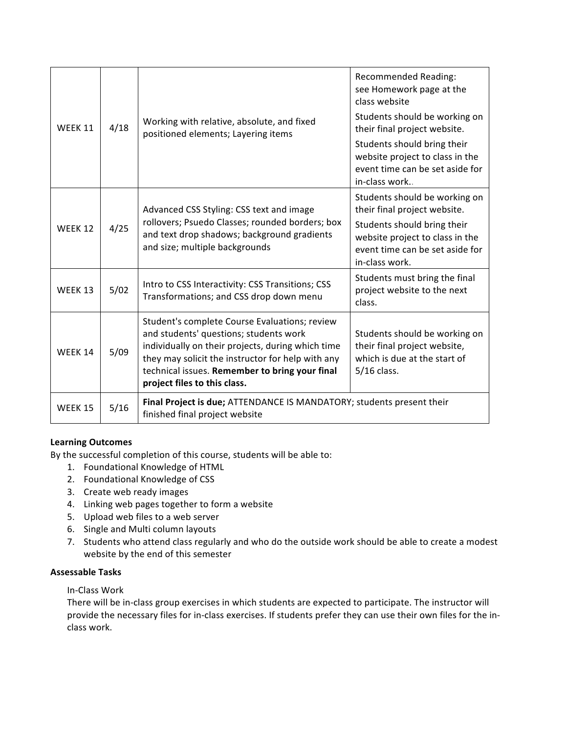| <b>WEEK 11</b> | 4/18 | Working with relative, absolute, and fixed<br>positioned elements; Layering items                                                                                                                                                                                                   | Recommended Reading:<br>see Homework page at the<br>class website<br>Students should be working on                  |
|----------------|------|-------------------------------------------------------------------------------------------------------------------------------------------------------------------------------------------------------------------------------------------------------------------------------------|---------------------------------------------------------------------------------------------------------------------|
|                |      |                                                                                                                                                                                                                                                                                     | their final project website.                                                                                        |
|                |      |                                                                                                                                                                                                                                                                                     | Students should bring their<br>website project to class in the<br>event time can be set aside for<br>in-class work  |
| WEEK 12        | 4/25 | Advanced CSS Styling: CSS text and image<br>rollovers; Psuedo Classes; rounded borders; box<br>and text drop shadows; background gradients<br>and size; multiple backgrounds                                                                                                        | Students should be working on<br>their final project website.                                                       |
|                |      |                                                                                                                                                                                                                                                                                     | Students should bring their<br>website project to class in the<br>event time can be set aside for<br>in-class work. |
| WEEK 13        | 5/02 | Intro to CSS Interactivity: CSS Transitions; CSS<br>Transformations; and CSS drop down menu                                                                                                                                                                                         | Students must bring the final<br>project website to the next<br>class.                                              |
| WEEK 14        | 5/09 | Student's complete Course Evaluations; review<br>and students' questions; students work<br>individually on their projects, during which time<br>they may solicit the instructor for help with any<br>technical issues. Remember to bring your final<br>project files to this class. | Students should be working on<br>their final project website,<br>which is due at the start of<br>5/16 class.        |
| <b>WEEK 15</b> | 5/16 | Final Project is due; ATTENDANCE IS MANDATORY; students present their<br>finished final project website                                                                                                                                                                             |                                                                                                                     |

# **Learning Outcomes**

By the successful completion of this course, students will be able to:

- 1. Foundational Knowledge of HTML
- 2. Foundational Knowledge of CSS
- 3. Create web ready images
- 4. Linking web pages together to form a website
- 5. Upload web files to a web server
- 6. Single and Multi column layouts
- 7. Students who attend class regularly and who do the outside work should be able to create a modest website by the end of this semester

# **Assessable Tasks**

In-Class Work

There will be in-class group exercises in which students are expected to participate. The instructor will provide the necessary files for in-class exercises. If students prefer they can use their own files for the inclass work.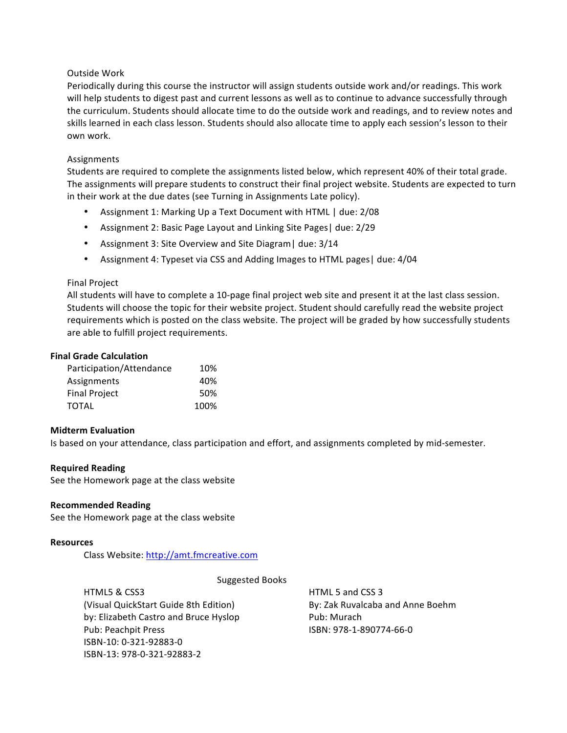## Outside Work

Periodically during this course the instructor will assign students outside work and/or readings. This work will help students to digest past and current lessons as well as to continue to advance successfully through the curriculum. Students should allocate time to do the outside work and readings, and to review notes and skills learned in each class lesson. Students should also allocate time to apply each session's lesson to their own work.

## Assignments

Students are required to complete the assignments listed below, which represent 40% of their total grade. The assignments will prepare students to construct their final project website. Students are expected to turn in their work at the due dates (see Turning in Assignments Late policy).

- Assignment 1: Marking Up a Text Document with HTML | due: 2/08
- Assignment 2: Basic Page Layout and Linking Site Pages | due: 2/29
- Assignment 3: Site Overview and Site Diagram | due: 3/14
- Assignment 4: Typeset via CSS and Adding Images to HTML pages | due: 4/04

## Final Project

All students will have to complete a 10-page final project web site and present it at the last class session. Students will choose the topic for their website project. Student should carefully read the website project requirements which is posted on the class website. The project will be graded by how successfully students are able to fulfill project requirements.

#### **Final Grade Calculation**

| Participation/Attendance | 10%  |
|--------------------------|------|
| Assignments              | 40%  |
| <b>Final Project</b>     | 50%  |
| <b>TOTAL</b>             | 100% |

#### **Midterm Evaluation**

Is based on your attendance, class participation and effort, and assignments completed by mid-semester.

#### **Required Reading**

See the Homework page at the class website

#### **Recommended Reading**

See the Homework page at the class website

#### **Resources**

Class Website: http://amt.fmcreative.com

Suggested Books

HTML5 & CSS3 (Visual QuickStart Guide 8th Edition) by: Elizabeth Castro and Bruce Hyslop Pub: Peachpit Press ISBN-10: 0-321-92883-0 ISBN-13: 978-0-321-92883-2

HTML 5 and CSS 3 By: Zak Ruvalcaba and Anne Boehm Pub: Murach ISBN: 978-1-890774-66-0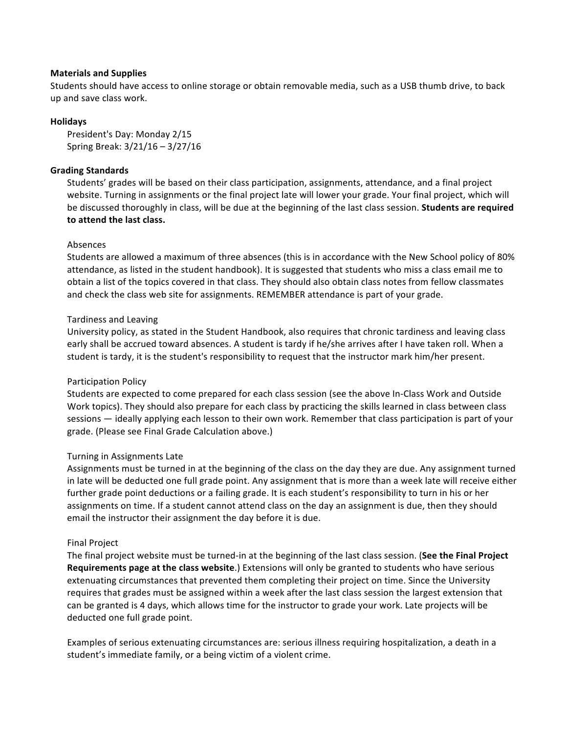## **Materials and Supplies**

Students should have access to online storage or obtain removable media, such as a USB thumb drive, to back up and save class work.

## **Holidays**

President's Day: Monday 2/15 Spring Break: 3/21/16 – 3/27/16

# **Grading Standards**

Students' grades will be based on their class participation, assignments, attendance, and a final project website. Turning in assignments or the final project late will lower your grade. Your final project, which will be discussed thoroughly in class, will be due at the beginning of the last class session. **Students are required to attend the last class.**

## Absences

Students are allowed a maximum of three absences (this is in accordance with the New School policy of 80% attendance, as listed in the student handbook). It is suggested that students who miss a class email me to obtain a list of the topics covered in that class. They should also obtain class notes from fellow classmates and check the class web site for assignments. REMEMBER attendance is part of your grade.

## Tardiness and Leaving

University policy, as stated in the Student Handbook, also requires that chronic tardiness and leaving class early shall be accrued toward absences. A student is tardy if he/she arrives after I have taken roll. When a student is tardy, it is the student's responsibility to request that the instructor mark him/her present.

# Participation Policy

Students are expected to come prepared for each class session (see the above In-Class Work and Outside Work topics). They should also prepare for each class by practicing the skills learned in class between class sessions — ideally applying each lesson to their own work. Remember that class participation is part of your grade. (Please see Final Grade Calculation above.)

#### Turning in Assignments Late

Assignments must be turned in at the beginning of the class on the day they are due. Any assignment turned in late will be deducted one full grade point. Any assignment that is more than a week late will receive either further grade point deductions or a failing grade. It is each student's responsibility to turn in his or her assignments on time. If a student cannot attend class on the day an assignment is due, then they should email the instructor their assignment the day before it is due.

#### Final Project

The final project website must be turned-in at the beginning of the last class session. (See the Final Project **Requirements page at the class website**.) Extensions will only be granted to students who have serious extenuating circumstances that prevented them completing their project on time. Since the University requires that grades must be assigned within a week after the last class session the largest extension that can be granted is 4 days, which allows time for the instructor to grade your work. Late projects will be deducted one full grade point.

Examples of serious extenuating circumstances are: serious illness requiring hospitalization, a death in a student's immediate family, or a being victim of a violent crime.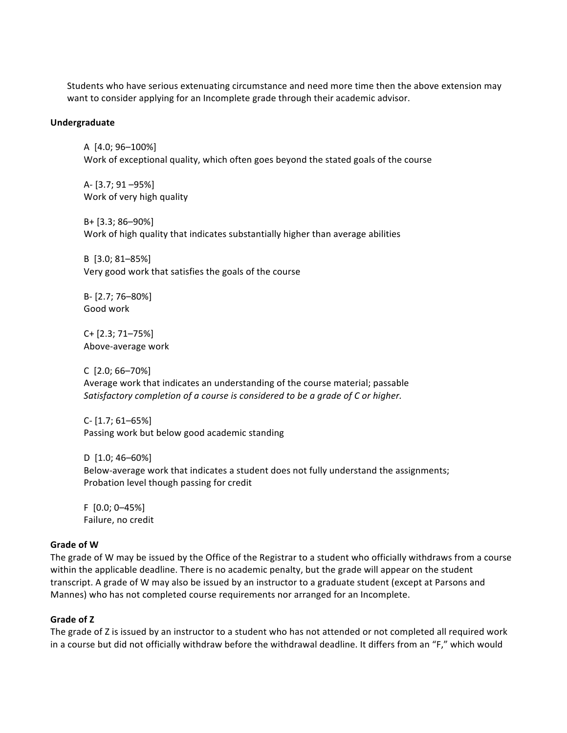Students who have serious extenuating circumstance and need more time then the above extension may want to consider applying for an Incomplete grade through their academic advisor.

#### **Undergraduate**

A [4.0; 96–100%] Work of exceptional quality, which often goes beyond the stated goals of the course

A- [3.7; 91 - 95%] Work of very high quality

B+ [3.3; 86–90%] Work of high quality that indicates substantially higher than average abilities

B [3.0; 81–85%] Very good work that satisfies the goals of the course

B- [2.7; 76–80%] Good work

C+ [2.3; 71–75%] Above-average work

C [2.0; 66–70%] Average work that indicates an understanding of the course material; passable Satisfactory completion of a course is considered to be a grade of C or higher.

 $C - [1.7; 61 - 65%]$ Passing work but below good academic standing

D [1.0; 46-60%] Below-average work that indicates a student does not fully understand the assignments; Probation level though passing for credit

 $F$  [0.0; 0-45%] Failure, no credit

#### **Grade of W**

The grade of W may be issued by the Office of the Registrar to a student who officially withdraws from a course within the applicable deadline. There is no academic penalty, but the grade will appear on the student transcript. A grade of W may also be issued by an instructor to a graduate student (except at Parsons and Mannes) who has not completed course requirements nor arranged for an Incomplete.

#### **Grade of Z**

The grade of Z is issued by an instructor to a student who has not attended or not completed all required work in a course but did not officially withdraw before the withdrawal deadline. It differs from an "F," which would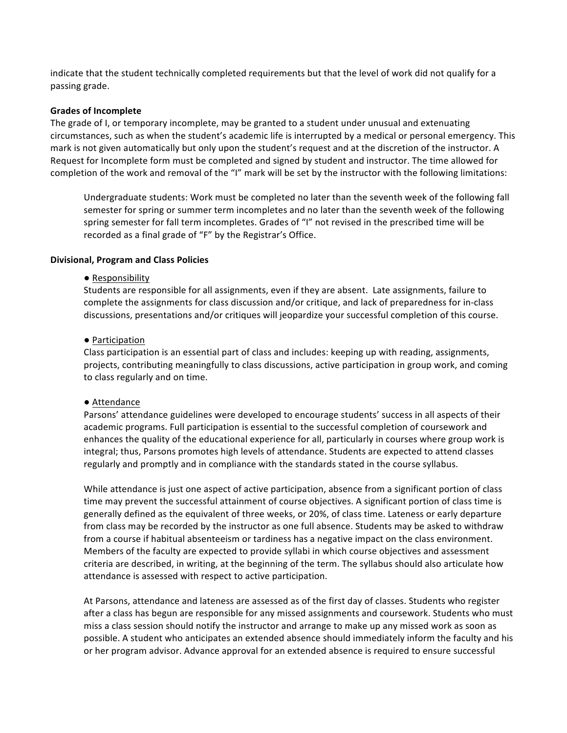indicate that the student technically completed requirements but that the level of work did not qualify for a passing grade.

#### **Grades of Incomplete**

The grade of I, or temporary incomplete, may be granted to a student under unusual and extenuating circumstances, such as when the student's academic life is interrupted by a medical or personal emergency. This mark is not given automatically but only upon the student's request and at the discretion of the instructor. A Request for Incomplete form must be completed and signed by student and instructor. The time allowed for completion of the work and removal of the "I" mark will be set by the instructor with the following limitations:

Undergraduate students: Work must be completed no later than the seventh week of the following fall semester for spring or summer term incompletes and no later than the seventh week of the following spring semester for fall term incompletes. Grades of "I" not revised in the prescribed time will be recorded as a final grade of "F" by the Registrar's Office.

## **Divisional, Program and Class Policies**

## • Responsibility

Students are responsible for all assignments, even if they are absent. Late assignments, failure to complete the assignments for class discussion and/or critique, and lack of preparedness for in-class discussions, presentations and/or critiques will jeopardize your successful completion of this course.

## ● Participation

Class participation is an essential part of class and includes: keeping up with reading, assignments, projects, contributing meaningfully to class discussions, active participation in group work, and coming to class regularly and on time.

# ● Attendance

Parsons' attendance guidelines were developed to encourage students' success in all aspects of their academic programs. Full participation is essential to the successful completion of coursework and enhances the quality of the educational experience for all, particularly in courses where group work is integral; thus, Parsons promotes high levels of attendance. Students are expected to attend classes regularly and promptly and in compliance with the standards stated in the course syllabus.

While attendance is just one aspect of active participation, absence from a significant portion of class time may prevent the successful attainment of course objectives. A significant portion of class time is generally defined as the equivalent of three weeks, or 20%, of class time. Lateness or early departure from class may be recorded by the instructor as one full absence. Students may be asked to withdraw from a course if habitual absenteeism or tardiness has a negative impact on the class environment. Members of the faculty are expected to provide syllabi in which course objectives and assessment criteria are described, in writing, at the beginning of the term. The syllabus should also articulate how attendance is assessed with respect to active participation.

At Parsons, attendance and lateness are assessed as of the first day of classes. Students who register after a class has begun are responsible for any missed assignments and coursework. Students who must miss a class session should notify the instructor and arrange to make up any missed work as soon as possible. A student who anticipates an extended absence should immediately inform the faculty and his or her program advisor. Advance approval for an extended absence is required to ensure successful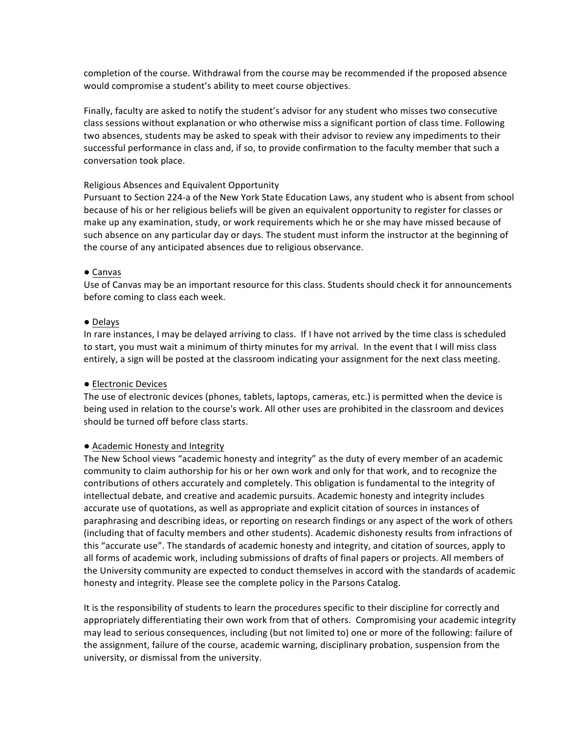completion of the course. Withdrawal from the course may be recommended if the proposed absence would compromise a student's ability to meet course objectives.

Finally, faculty are asked to notify the student's advisor for any student who misses two consecutive class sessions without explanation or who otherwise miss a significant portion of class time. Following two absences, students may be asked to speak with their advisor to review any impediments to their successful performance in class and, if so, to provide confirmation to the faculty member that such a conversation took place.

## Religious Absences and Equivalent Opportunity

Pursuant to Section 224-a of the New York State Education Laws, any student who is absent from school because of his or her religious beliefs will be given an equivalent opportunity to register for classes or make up any examination, study, or work requirements which he or she may have missed because of such absence on any particular day or days. The student must inform the instructor at the beginning of the course of any anticipated absences due to religious observance.

## ● Canvas

Use of Canvas may be an important resource for this class. Students should check it for announcements before coming to class each week.

## ● Delays

In rare instances, I may be delayed arriving to class. If I have not arrived by the time class is scheduled to start, you must wait a minimum of thirty minutes for my arrival. In the event that I will miss class entirely, a sign will be posted at the classroom indicating your assignment for the next class meeting.

# ● Electronic Devices

The use of electronic devices (phones, tablets, laptops, cameras, etc.) is permitted when the device is being used in relation to the course's work. All other uses are prohibited in the classroom and devices should be turned off before class starts.

# ● Academic Honesty and Integrity

The New School views "academic honesty and integrity" as the duty of every member of an academic community to claim authorship for his or her own work and only for that work, and to recognize the contributions of others accurately and completely. This obligation is fundamental to the integrity of intellectual debate, and creative and academic pursuits. Academic honesty and integrity includes accurate use of quotations, as well as appropriate and explicit citation of sources in instances of paraphrasing and describing ideas, or reporting on research findings or any aspect of the work of others (including that of faculty members and other students). Academic dishonesty results from infractions of this "accurate use". The standards of academic honesty and integrity, and citation of sources, apply to all forms of academic work, including submissions of drafts of final papers or projects. All members of the University community are expected to conduct themselves in accord with the standards of academic honesty and integrity. Please see the complete policy in the Parsons Catalog.

It is the responsibility of students to learn the procedures specific to their discipline for correctly and appropriately differentiating their own work from that of others. Compromising your academic integrity may lead to serious consequences, including (but not limited to) one or more of the following: failure of the assignment, failure of the course, academic warning, disciplinary probation, suspension from the university, or dismissal from the university.